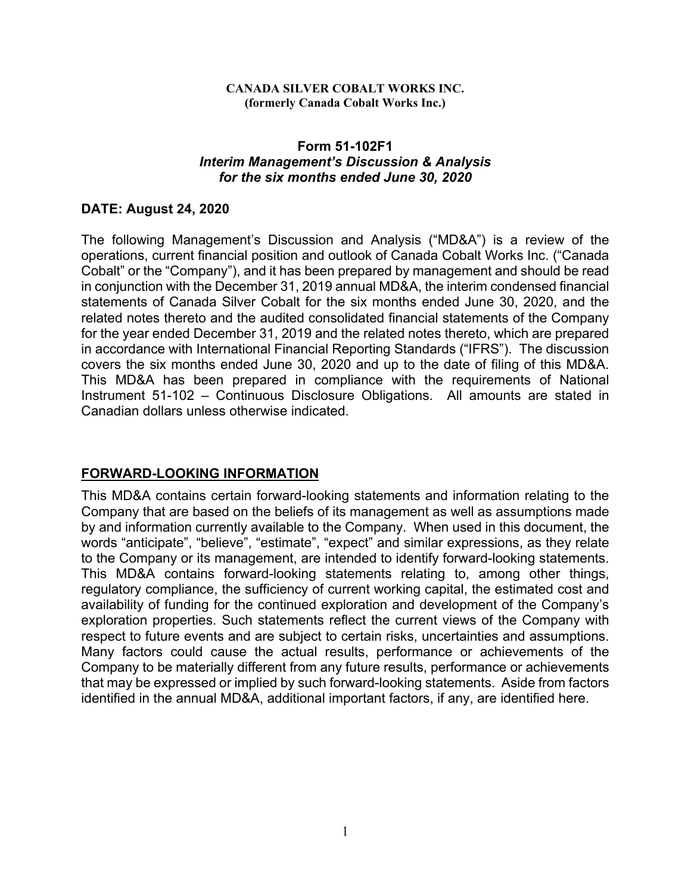#### **CANADA SILVER COBALT WORKS INC. (formerly Canada Cobalt Works Inc.)**

#### **Form 51-102F1**  *Interim Management's Discussion & Analysis for the six months ended June 30, 2020*

## **DATE: August 24, 2020**

The following Management's Discussion and Analysis ("MD&A") is a review of the operations, current financial position and outlook of Canada Cobalt Works Inc. ("Canada Cobalt" or the "Company"), and it has been prepared by management and should be read in conjunction with the December 31, 2019 annual MD&A, the interim condensed financial statements of Canada Silver Cobalt for the six months ended June 30, 2020, and the related notes thereto and the audited consolidated financial statements of the Company for the year ended December 31, 2019 and the related notes thereto, which are prepared in accordance with International Financial Reporting Standards ("IFRS"). The discussion covers the six months ended June 30, 2020 and up to the date of filing of this MD&A. This MD&A has been prepared in compliance with the requirements of National Instrument 51-102 – Continuous Disclosure Obligations. All amounts are stated in Canadian dollars unless otherwise indicated.

# **FORWARD-LOOKING INFORMATION**

This MD&A contains certain forward-looking statements and information relating to the Company that are based on the beliefs of its management as well as assumptions made by and information currently available to the Company. When used in this document, the words "anticipate", "believe", "estimate", "expect" and similar expressions, as they relate to the Company or its management, are intended to identify forward-looking statements. This MD&A contains forward-looking statements relating to, among other things, regulatory compliance, the sufficiency of current working capital, the estimated cost and availability of funding for the continued exploration and development of the Company's exploration properties. Such statements reflect the current views of the Company with respect to future events and are subject to certain risks, uncertainties and assumptions. Many factors could cause the actual results, performance or achievements of the Company to be materially different from any future results, performance or achievements that may be expressed or implied by such forward-looking statements. Aside from factors identified in the annual MD&A, additional important factors, if any, are identified here.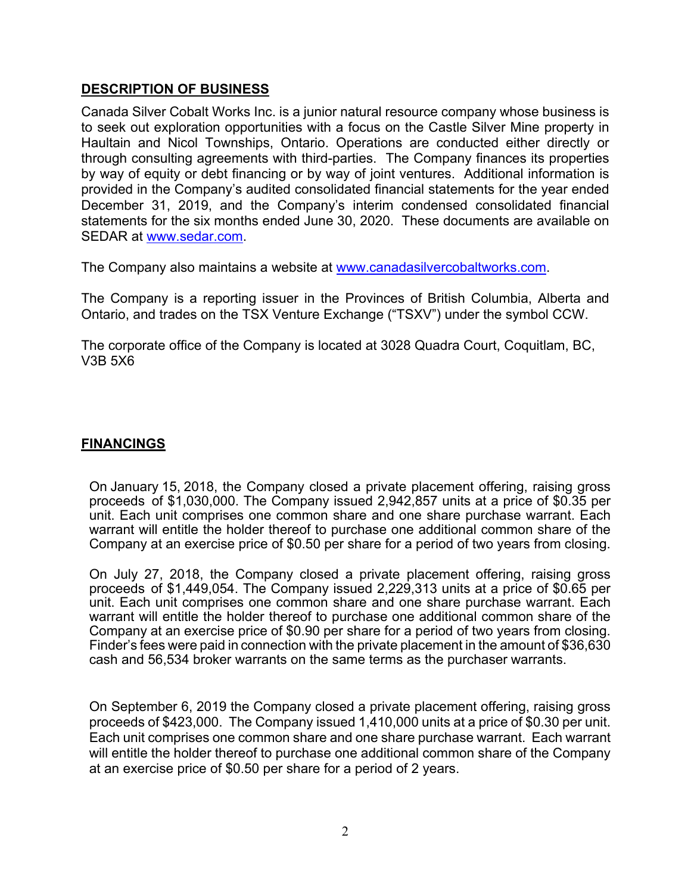## **DESCRIPTION OF BUSINESS**

Canada Silver Cobalt Works Inc. is a junior natural resource company whose business is to seek out exploration opportunities with a focus on the Castle Silver Mine property in Haultain and Nicol Townships, Ontario. Operations are conducted either directly or through consulting agreements with third-parties. The Company finances its properties by way of equity or debt financing or by way of joint ventures. Additional information is provided in the Company's audited consolidated financial statements for the year ended December 31, 2019, and the Company's interim condensed consolidated financial statements for the six months ended June 30, 2020. These documents are available on SEDAR at www.sedar.com.

The Company also maintains a website at www.canadasilvercobaltworks.com.

The Company is a reporting issuer in the Provinces of British Columbia, Alberta and Ontario, and trades on the TSX Venture Exchange ("TSXV") under the symbol CCW.

The corporate office of the Company is located at 3028 Quadra Court, Coquitlam, BC, V3B 5X6

# **FINANCINGS**

On January 15, 2018, the Company closed a private placement offering, raising gross proceeds of \$1,030,000. The Company issued 2,942,857 units at a price of \$0.35 per unit. Each unit comprises one common share and one share purchase warrant. Each warrant will entitle the holder thereof to purchase one additional common share of the Company at an exercise price of \$0.50 per share for a period of two years from closing.

On July 27, 2018, the Company closed a private placement offering, raising gross proceeds of \$1,449,054. The Company issued 2,229,313 units at a price of \$0.65 per unit. Each unit comprises one common share and one share purchase warrant. Each warrant will entitle the holder thereof to purchase one additional common share of the Company at an exercise price of \$0.90 per share for a period of two years from closing. Finder's fees were paid in connection with the private placement in the amount of \$36,630 cash and 56,534 broker warrants on the same terms as the purchaser warrants.

On September 6, 2019 the Company closed a private placement offering, raising gross proceeds of \$423,000. The Company issued 1,410,000 units at a price of \$0.30 per unit. Each unit comprises one common share and one share purchase warrant. Each warrant will entitle the holder thereof to purchase one additional common share of the Company at an exercise price of \$0.50 per share for a period of 2 years.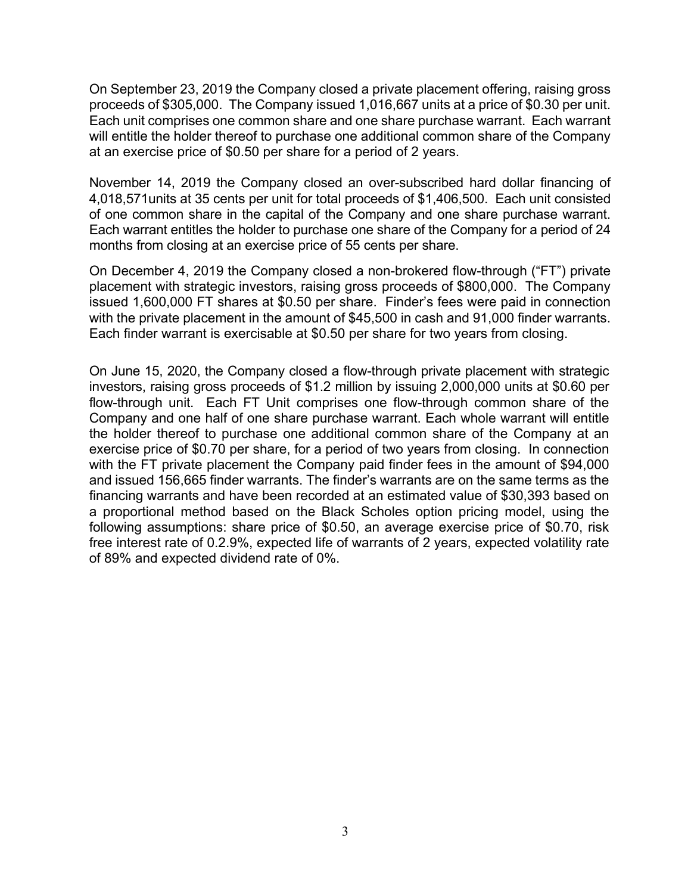On September 23, 2019 the Company closed a private placement offering, raising gross proceeds of \$305,000. The Company issued 1,016,667 units at a price of \$0.30 per unit. Each unit comprises one common share and one share purchase warrant. Each warrant will entitle the holder thereof to purchase one additional common share of the Company at an exercise price of \$0.50 per share for a period of 2 years.

November 14, 2019 the Company closed an over-subscribed hard dollar financing of 4,018,571units at 35 cents per unit for total proceeds of \$1,406,500. Each unit consisted of one common share in the capital of the Company and one share purchase warrant. Each warrant entitles the holder to purchase one share of the Company for a period of 24 months from closing at an exercise price of 55 cents per share.

On December 4, 2019 the Company closed a non-brokered flow-through ("FT") private placement with strategic investors, raising gross proceeds of \$800,000. The Company issued 1,600,000 FT shares at \$0.50 per share. Finder's fees were paid in connection with the private placement in the amount of \$45,500 in cash and 91,000 finder warrants. Each finder warrant is exercisable at \$0.50 per share for two years from closing.

On June 15, 2020, the Company closed a flow-through private placement with strategic investors, raising gross proceeds of \$1.2 million by issuing 2,000,000 units at \$0.60 per flow-through unit. Each FT Unit comprises one flow-through common share of the Company and one half of one share purchase warrant. Each whole warrant will entitle the holder thereof to purchase one additional common share of the Company at an exercise price of \$0.70 per share, for a period of two years from closing. In connection with the FT private placement the Company paid finder fees in the amount of \$94,000 and issued 156,665 finder warrants. The finder's warrants are on the same terms as the financing warrants and have been recorded at an estimated value of \$30,393 based on a proportional method based on the Black Scholes option pricing model, using the following assumptions: share price of \$0.50, an average exercise price of \$0.70, risk free interest rate of 0.2.9%, expected life of warrants of 2 years, expected volatility rate of 89% and expected dividend rate of 0%.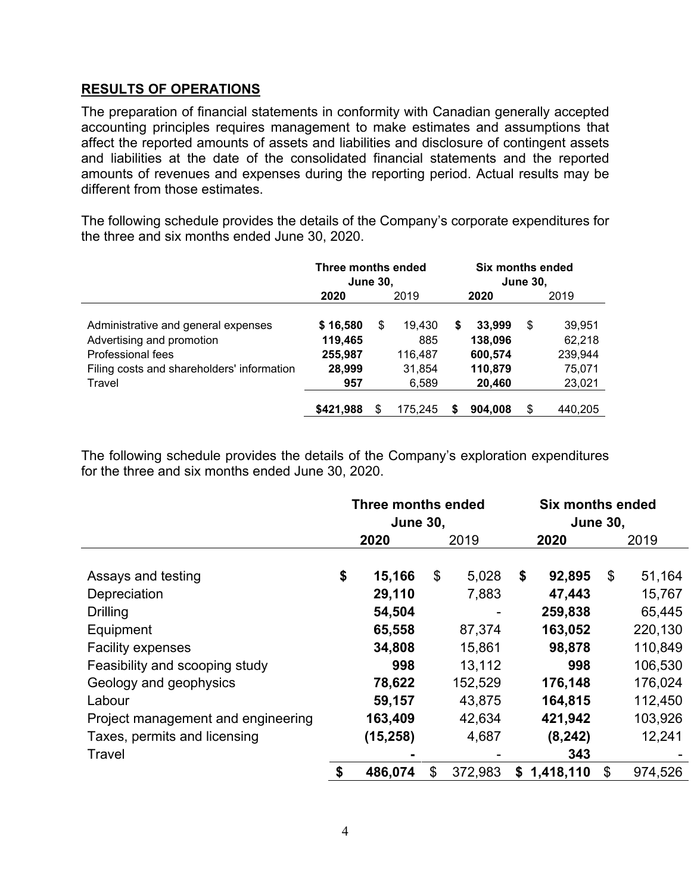## **RESULTS OF OPERATIONS**

The preparation of financial statements in conformity with Canadian generally accepted accounting principles requires management to make estimates and assumptions that affect the reported amounts of assets and liabilities and disclosure of contingent assets and liabilities at the date of the consolidated financial statements and the reported amounts of revenues and expenses during the reporting period. Actual results may be different from those estimates.

The following schedule provides the details of the Company's corporate expenditures for the three and six months ended June 30, 2020.

|                                                                                                                                               | Three months ended<br><b>June 30,</b>           |      |                                             |      | Six months ended<br><b>June 30,</b>               |      |                                                 |  |  |
|-----------------------------------------------------------------------------------------------------------------------------------------------|-------------------------------------------------|------|---------------------------------------------|------|---------------------------------------------------|------|-------------------------------------------------|--|--|
|                                                                                                                                               | 2020                                            | 2019 |                                             | 2020 |                                                   | 2019 |                                                 |  |  |
| Administrative and general expenses<br>Advertising and promotion<br>Professional fees<br>Filing costs and shareholders' information<br>Travel | \$16,580<br>119,465<br>255,987<br>28,999<br>957 | \$   | 19,430<br>885<br>116,487<br>31,854<br>6,589 | \$   | 33,999<br>138,096<br>600,574<br>110,879<br>20,460 | \$   | 39,951<br>62,218<br>239,944<br>75,071<br>23,021 |  |  |
|                                                                                                                                               | \$421,988                                       | S    | 175,245                                     |      | 904.008                                           | \$   | 440,205                                         |  |  |

The following schedule provides the details of the Company's exploration expenditures for the three and six months ended June 30, 2020.

|                                    | <b>Three months ended</b><br><b>June 30,</b> |           |      |         | <b>Six months ended</b><br><b>June 30,</b> |           |      |         |
|------------------------------------|----------------------------------------------|-----------|------|---------|--------------------------------------------|-----------|------|---------|
|                                    | 2020                                         |           | 2019 |         | 2020                                       |           | 2019 |         |
| Assays and testing                 | \$                                           | 15,166    | \$   | 5,028   | \$                                         | 92,895    | \$   | 51,164  |
| Depreciation                       |                                              | 29,110    |      | 7,883   |                                            | 47,443    |      | 15,767  |
| <b>Drilling</b>                    |                                              | 54,504    |      |         |                                            | 259,838   |      | 65,445  |
| Equipment                          |                                              | 65,558    |      | 87,374  |                                            | 163,052   |      | 220,130 |
| <b>Facility expenses</b>           |                                              | 34,808    |      | 15,861  |                                            | 98,878    |      | 110,849 |
| Feasibility and scooping study     |                                              | 998       |      | 13,112  |                                            | 998       |      | 106,530 |
| Geology and geophysics             |                                              | 78,622    |      | 152,529 |                                            | 176,148   |      | 176,024 |
| Labour                             |                                              | 59,157    |      | 43,875  |                                            | 164,815   |      | 112,450 |
| Project management and engineering |                                              | 163,409   |      | 42,634  |                                            | 421,942   |      | 103,926 |
| Taxes, permits and licensing       |                                              | (15, 258) |      | 4,687   |                                            | (8, 242)  |      | 12,241  |
| Travel                             |                                              |           |      |         |                                            | 343       |      |         |
|                                    | \$                                           | 486,074   | \$   | 372,983 | \$                                         | 1,418,110 | \$   | 974,526 |